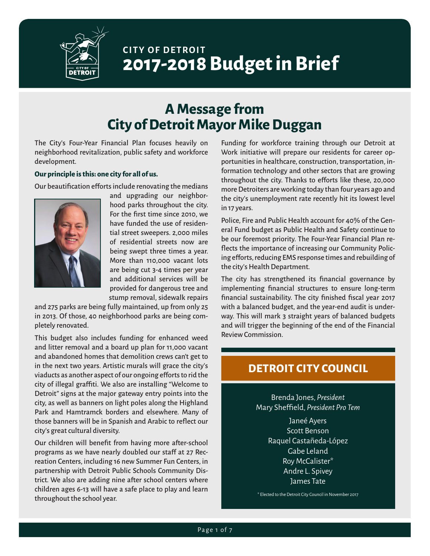

# **CITY OF DETROIT 2017-2018 Budget in Brief**

# **A Message from City of Detroit Mayor Mike Duggan**

The City's Four-Year Financial Plan focuses heavily on neighborhood revitalization, public safety and workforce development.

#### **Our principle is this: one city for all of us.**

Our beautification efforts include renovating the medians



and upgrading our neighborhood parks throughout the city. For the first time since 2010, we have funded the use of residential street sweepers. 2,000 miles of residential streets now are being swept three times a year. More than 110,000 vacant lots are being cut 3-4 times per year and additional services will be provided for dangerous tree and stump removal, sidewalk repairs

and 275 parks are being fully maintained, up from only 25 in 2013. Of those, 40 neighborhood parks are being completely renovated.

This budget also includes funding for enhanced weed and litter removal and a board up plan for 11,000 vacant and abandoned homes that demolition crews can't get to in the next two years. Artistic murals will grace the city's viaducts as another aspect of our ongoing efforts to rid the city of illegal graffiti. We also are installing "Welcome to Detroit" signs at the major gateway entry points into the city, as well as banners on light poles along the Highland Park and Hamtramck borders and elsewhere. Many of those banners will be in Spanish and Arabic to reflect our city's great cultural diversity.

Our children will benefit from having more after-school programs as we have nearly doubled our staff at 27 Recreation Centers, including 16 new Summer Fun Centers, in partnership with Detroit Public Schools Community District. We also are adding nine after school centers where children ages 6-13 will have a safe place to play and learn throughout the school year.

Funding for workforce training through our Detroit at Work initiative will prepare our residents for career opportunities in healthcare, construction, transportation, information technology and other sectors that are growing throughout the city. Thanks to efforts like these, 20,000 more Detroiters are working today than four years ago and the city's unemployment rate recently hit its lowest level in 17 years.

Police, Fire and Public Health account for 40% of the General Fund budget as Public Health and Safety continue to be our foremost priority. The Four-Year Financial Plan reflects the importance of increasing our Community Policing efforts, reducing EMS response times and rebuilding of the city's Health Department.

The city has strengthened its financial governance by implementing financial structures to ensure long-term financial sustainability. The city finished fiscal year 2017 with a balanced budget, and the year-end audit is underway. This will mark 3 straight years of balanced budgets and will trigger the beginning of the end of the Financial Review Commission.

### **DETROIT CITY COUNCIL**

Brenda Jones, *President* Mary Sheffield, *President Pro Tem*

> Janeé Ayers Scott Benson Raquel Castañeda-López Gabe Leland Roy McCalister\* Andre L. Spivey James Tate

\* Elected to the Detroit City Council in November 2017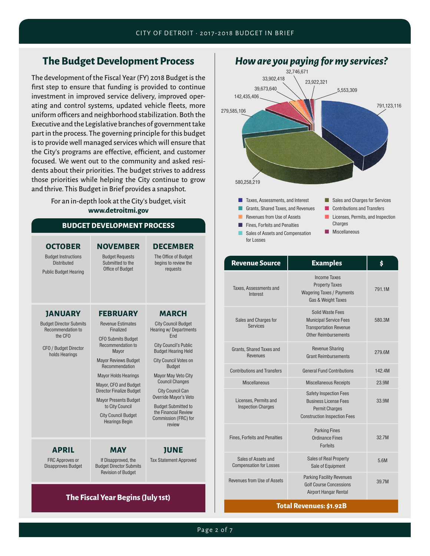## **The Budget Development Process**

The development of the Fiscal Year (FY) 2018 Budget is the first step to ensure that funding is provided to continue investment in improved service delivery, improved operating and control systems, updated vehicle fleets, more uniform officers and neighborhood stabilization. Both the Executive and the Legislative branches of government take part in the process. The governing principle for this budget is to provide well managed services which will ensure that the City's programs are effective, efficient, and customer focused. We went out to the community and asked residents about their priorities. The budget strives to address those priorities while helping the City continue to grow and thrive. This Budget in Brief provides a snapshot.

> For an in-depth look at the City's budget, visit **www.detroitmi.gov**

#### **BUDGET DEVELOPMENT PROCESS**

| <b>OCTOBER</b><br><b>Budget Instructions</b><br><b>Distributed</b><br><b>Public Budget Hearing</b>                                 | <b>NOVEMBER</b><br><b>Budget Requests</b><br>Submitted to the<br><b>Office of Budget</b>                                                                                                                                                                                                                                                                                  | <b>DECEMBER</b><br>The Office of Budget<br>begins to review the<br>requests                                                                                                                                                                                                                                                                                                             |
|------------------------------------------------------------------------------------------------------------------------------------|---------------------------------------------------------------------------------------------------------------------------------------------------------------------------------------------------------------------------------------------------------------------------------------------------------------------------------------------------------------------------|-----------------------------------------------------------------------------------------------------------------------------------------------------------------------------------------------------------------------------------------------------------------------------------------------------------------------------------------------------------------------------------------|
| <b>JANUARY</b><br><b>Budget Director Submits</b><br>Recommendation to<br>the CFO<br><b>CFO</b> / Budget Director<br>holds Hearings | <b>FEBRUARY</b><br><b>Revenue Estimates</b><br>Finalized<br><b>CFO Submits Budget</b><br>Recommendation to<br>Mayor<br><b>Mayor Reviews Budget</b><br>Recommendation<br><b>Mayor Holds Hearings</b><br>Mayor, CFO and Budget<br><b>Director Finalize Budget</b><br><b>Mayor Presents Budget</b><br>to City Council<br><b>City Council Budget</b><br><b>Hearings Begin</b> | <b>MARCH</b><br><b>City Council Budget</b><br>Hearing w/ Departments<br>Fnd<br><b>City Council's Public</b><br><b>Budget Hearing Held</b><br><b>City Council Votes on</b><br><b>Budget</b><br>Mayor May Veto City<br><b>Council Changes</b><br><b>City Council Can</b><br>Override Mayor's Veto<br><b>Budget Submitted to</b><br>the Financial Review<br>Commission (FRC) for<br>review |
| <b>APRIL</b><br><b>FRC Approves or</b><br><b>Disapproves Budget</b>                                                                | <b>MAY</b><br>If Disapproved, the<br><b>Budget Director Submits</b><br><b>Revision of Budget</b>                                                                                                                                                                                                                                                                          | <b>JUNE</b><br><b>Tax Statement Approved</b>                                                                                                                                                                                                                                                                                                                                            |

#### **The Fiscal Year Begins (July 1st)**



| <b>Revenue Source</b>                                 | <b>Examples</b>                                                                                                               | Ś      |
|-------------------------------------------------------|-------------------------------------------------------------------------------------------------------------------------------|--------|
| Taxes, Assessments and<br>Interest                    | <b>Income Taxes</b><br><b>Property Taxes</b><br><b>Wagering Taxes / Payments</b><br>Gas & Weight Taxes                        | 791.1M |
| Sales and Charges for<br><b>Services</b>              | Solid Waste Fees<br><b>Municipal Service Fees</b><br><b>Transportation Revenue</b><br><b>Other Reimbursements</b>             | 580.3M |
| Grants, Shared Taxes and<br>Revenues                  | <b>Revenue Sharing</b><br><b>Grant Reimbursements</b>                                                                         | 279.6M |
| <b>Contributions and Transfers</b>                    | <b>General Fund Contributions</b>                                                                                             | 142.4M |
| <b>Miscellaneous</b>                                  | <b>Miscellaneous Receipts</b>                                                                                                 | 23.9M  |
| Licenses. Permits and<br><b>Inspection Charges</b>    | <b>Safety Inspection Fees</b><br><b>Business License Fees</b><br><b>Permit Charges</b><br><b>Construction Inspection Fees</b> | 33.9M  |
| <b>Fines, Forfeits and Penalties</b>                  | <b>Parking Fines</b><br>Ordinance Fines<br><b>Forfeits</b>                                                                    | 32.7M  |
| Sales of Assets and<br><b>Compensation for Losses</b> | <b>Sales of Real Property</b><br>Sale of Equipment                                                                            | 5.6M   |
| Revenues from Use of Assets                           | <b>Parking Facility Revenues</b><br><b>Golf Course Concessions</b><br><b>Airport Hangar Rental</b>                            | 39.7M  |

#### **Total Revenues: \$1.92B**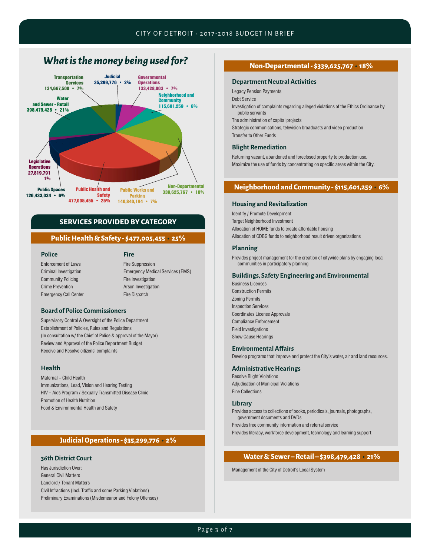### *What is the money being used for?*



#### **SERVICES PROVIDED BY CATEGORY**

#### **Public Health & Safety - \$477,005,455 • 25%**

**Police**

#### **Fire**

Enforcement of Laws Criminal Investigation Community Policing Crime Prevention Emergency Call Center

### Fire Suppression Emergency Medical Services (EMS)

Fire Investigation Arson Investigation Fire Dispatch

#### **Board of Police Commissioners**

Supervisory Control & Oversight of the Police Department Establishment of Policies, Rules and Regulations (In consultation w/ the Chief of Police & approval of the Mayor) Review and Approval of the Police Department Budget Receive and Resolve citizens' complaints

#### **Health**

Maternal – Child Health Immunizations, Lead, Vision and Hearing Testing HIV – Aids Program / Sexually Transmitted Disease Clinic Promotion of Health Nutrition Food & Environmental Health and Safety

#### **Judicial Operations - \$35,299,776 • 2%**

#### **36th District Court**

Has Jurisdiction Over: General Civil Matters Landlord / Tenant Matters Civil Infractions (Incl. Traffic and some Parking Violations) Preliminary Examinations (Misdemeanor and Felony Offenses)

#### **Non-Departmental - \$339,625,767 • 18%**

#### **Department Neutral Activities**

Legacy Pension Payments

Debt Service

Investigation of complaints regarding alleged violations of the Ethics Ordinance by public servants

The administration of capital projects

Strategic communications, television broadcasts and video production Transfer to Other Funds

#### **Blight Remediation**

Returning vacant, abandoned and foreclosed property to production use. Maximize the use of funds by concentrating on specific areas within the City.

#### **Neighborhood and Community - \$115,601,259 • 6%**

#### **Housing and Revitalization**

Identify / Promote Development Target Neighborhood Investment Allocation of HOME funds to create affordable housing Allocation of CDBG funds to neighborhood result driven organizations

#### **Planning**

Provides project management for the creation of citywide plans by engaging local communities in participatory planning

#### **Buildings, Safety Engineering and Environmental**

Business Licenses Construction Permits Zoning Permits Inspection Services Coordinates License Approvals Compliance Enforcement Field Investigations Show Cause Hearings

### **Environmental Affairs**

Develop programs that improve and protect the City's water, air and land resources.

#### **Administrative Hearings**

Resolve Blight Violations Adjudication of Municipal Violations Fine Collections

#### **Library**

Provides access to collections of books, periodicals, journals, photographs, government documents and DVDs

Provides free community information and referral service Provides literacy, workforce development, technology and learning support

#### **Water & Sewer – Retail – \$398,479,428 • 21%**

Management of the City of Detroit's Local System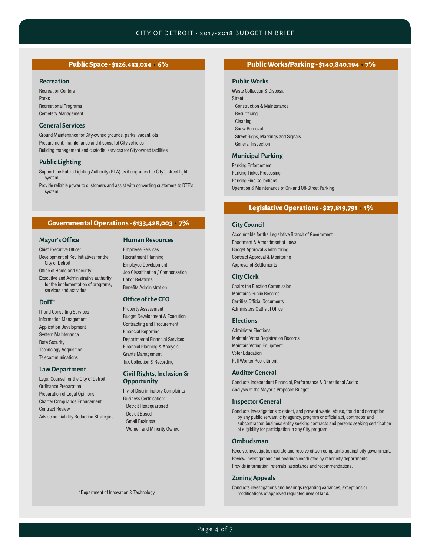#### **Recreation**

Recreation Centers Parks Recreational Programs Cemetery Management

#### **General Services**

Ground Maintenance for City-owned grounds, parks, vacant lots Procurement, maintenance and disposal of City vehicles Building management and custodial services for City-owned facilities

#### **Public Lighting**

Support the Public Lighting Authority (PLA) as it upgrades the City's street light system

Provide reliable power to customers and assist with converting customers to DTE's system

#### **Governmental Operations - \$133,428,003 • 7%**

#### **Mayor's Office**

#### Chief Executive Officer

Development of Key Initiatives for the City of Detroit

Office of Homeland Security

Executive and Administrative authority for the implementation of programs, services and activities

#### **DoIT\***

IT and Consulting Services Information Management Application Development System Maintenance Data Security Technology Acquisition **Telecommunications** 

#### **Law Department**

Legal Counsel for the City of Detroit Ordinance Preparation Preparation of Legal Opinions Charter Compliance Enforcement Contract Review Advise on Liability Reduction Strategies

#### **Human Resources**

Employee Services Recruitment Planning Employee Development Job Classification / Compensation Labor Relations Benefits Administration

#### **Office of the CFO**

Property Assessment Budget Development & Execution Contracting and Procurement Financial Reporting Departmental Financial Services Financial Planning & Analysis Grants Management Tax Collection & Recording

#### **Civil Rights, Inclusion & Opportunity**

Inv. of Discriminatory Complaints Business Certification: Detroit Headquartered Detroit Based Small Business Women and Minority Owned

\*Department of Innovation & Technology

#### **Public Space - \$126,433,034 • 6% Public Works/Parking - \$140,840,194 • 7%**

#### **Public Works**

Waste Collection & Disposal Street: Construction & Maintenance Resurfacing Cleaning Snow Removal Street Signs, Markings and Signals General Inspection

#### **Municipal Parking**

Parking Enforcement Parking Ticket Processing Parking Fine Collections Operation & Maintenance of On- and Off-Street Parking

#### **Legislative Operations - \$27,819,791 • 1%**

#### **City Council**

Accountable for the Legislative Branch of Government Enactment & Amendment of Laws Budget Approval & Monitoring Contract Approval & Monitoring Approval of Settlements

#### **City Clerk**

Chairs the Election Commission Maintains Public Records Certifies Official Documents Administers Oaths of Office

#### **Elections**

Administer Elections Maintain Voter Registration Records Maintain Voting Equipment Voter Education Poll Worker Recruitment

#### **Auditor General**

Conducts independent Financial, Performance & Operational Audits Analysis of the Mayor's Proposed Budget.

#### **Inspector General**

Conducts investigations to detect, and prevent waste, abuse, fraud and corruption by any public servant, city agency, program or official act, contractor and subcontractor, business entity seeking contracts and persons seeking certification of eligibility for participation in any City program.

#### **Ombudsman**

Receive, investigate, mediate and resolve citizen complaints against city government. Review investigations and hearings conducted by other city departments. Provide information, referrals, assistance and recommendations.

#### **Zoning Appeals**

Conducts investigations and hearings regarding variances, exceptions or modifications of approved regulated uses of land.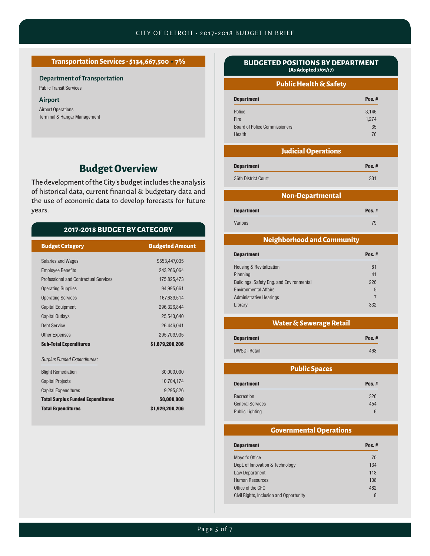#### **Transportation Services - \$134,667,500 • 7%**

#### **Department of Transportation**

Public Transit Services

#### **Airport**

Airport Operations Terminal & Hangar Management

### **Budget Overview**

The development of the City's budget includes the analysis of historical data, current financial & budgetary data and the use of economic data to develop forecasts for future years.

### **2017-2018 BUDGET BY CATEGORY**

| <b>Budget Category</b>                       | <b>Budgeted Amount</b> |
|----------------------------------------------|------------------------|
|                                              |                        |
| <b>Salaries and Wages</b>                    | \$553,447,035          |
| <b>Employee Benefits</b>                     | 243,266,064            |
| <b>Professional and Contractual Services</b> | 175,825,473            |
| <b>Operating Supplies</b>                    | 94,995,661             |
| <b>Operating Services</b>                    | 167,639,514            |
| <b>Capital Equipment</b>                     | 296,326,844            |
| <b>Capital Outlays</b>                       | 25.543.640             |
| <b>Debt Service</b>                          | 26,446,041             |
| <b>Other Expenses</b>                        | 295,709,935            |
| <b>Sub-Total Expenditures</b>                | \$1,879,200,206        |
| <b>Surplus Funded Expenditures:</b>          |                        |
| <b>Blight Remediation</b>                    | 30.000.000             |
| <b>Capital Projects</b>                      | 10,704,174             |
| <b>Capital Expenditures</b>                  | 9,295,826              |
| <b>Total Surplus Funded Expenditures</b>     | 50,000,000             |
| <b>Total Expenditures</b>                    | \$1,929,200,206        |

#### **BUDGETED POSITIONS BY DEPARTMENT (As Adopted 7/01/17)**

#### **Public Health & Safety**

| <b>Department</b>                    | Pos. $#$ |
|--------------------------------------|----------|
| Police                               | 3,146    |
| Fire                                 | 1,274    |
| <b>Board of Police Commissioners</b> | 35       |
| Health                               | 76       |

### **Judicial Operations**

| <b>Department</b>   | Pos. $#$ |
|---------------------|----------|
| 36th District Court | 331      |

#### **Non-Departmental**

Department Pos. # Various 79

#### **Neighborhood and Community**

| Pos. $#$       |  |
|----------------|--|
| 81             |  |
| 41             |  |
| 226            |  |
| 5              |  |
| $\overline{7}$ |  |
| 332            |  |
|                |  |

#### **Water & Sewerage Retail**

| <b>Department</b> | Pos. $#$ |
|-------------------|----------|
| DWSD - Retail     | 468      |

### **Public Spaces**

| <b>Department</b>       | Pos. $#$ |
|-------------------------|----------|
| Recreation              | 326      |
| <b>General Services</b> | 454      |
| <b>Public Lighting</b>  | 6        |

#### **Governmental Operations**

| <b>Department</b>                       | Pos. $#$ |
|-----------------------------------------|----------|
| Mayor's Office                          | 70       |
| Dept. of Innovation & Technology        | 134      |
| Law Department                          | 118      |
| <b>Human Resources</b>                  | 108      |
| Office of the CFO                       | 482      |
| Civil Rights, Inclusion and Opportunity | 8        |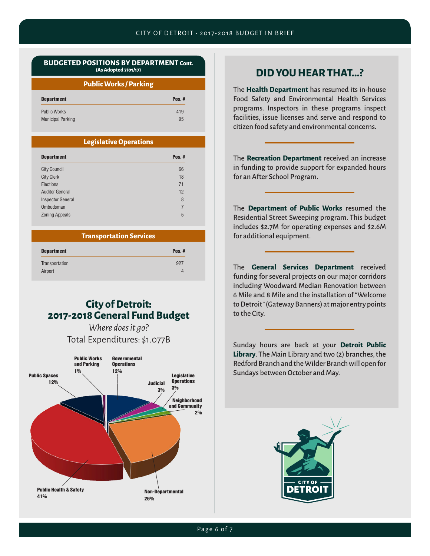#### **BUDGETED POSITIONS BY DEPARTMENT Cont. (As Adopted 7/01/17)**

#### **Public Works / Parking**

| <b>Department</b>        | Pos. $#$ |
|--------------------------|----------|
| <b>Public Works</b>      | 419      |
| <b>Municipal Parking</b> | 95       |

#### **Legislative Operations**

| <b>Department</b>        | Pos. $#$ |
|--------------------------|----------|
| <b>City Council</b>      | 66       |
| <b>City Clerk</b>        | 18       |
| Elections                | 71       |
| <b>Auditor General</b>   | 12       |
| <b>Inspector General</b> | 8        |
| Ombudsman                | 7        |
| <b>Zoning Appeals</b>    | 5        |

#### **Transportation Services**

| <b>Department</b> | Pos. $#$ |
|-------------------|----------|
| Transportation    | 927      |
| Airport           | 4        |

### **City of Detroit: 2017-2018 General Fund Budget**

*Where does it go?* Total Expenditures: \$1.077B



### **DID YOU HEAR THAT...?**

The **Health Department** has resumed its in-house Food Safety and Environmental Health Services programs. Inspectors in these programs inspect facilities, issue licenses and serve and respond to citizen food safety and environmental concerns.

The **Recreation Department** received an increase in funding to provide support for expanded hours for an After School Program.

The **Department of Public Works** resumed the Residential Street Sweeping program. This budget includes \$2.7M for operating expenses and \$2.6M for additional equipment.

The **General Services Department** received funding for several projects on our major corridors including Woodward Median Renovation between 6 Mile and 8 Mile and the installation of "Welcome to Detroit" (Gateway Banners) at major entry points to the City.

Sunday hours are back at your **Detroit Public Library**. The Main Library and two (2) branches, the Redford Branch and the Wilder Branch will open for Sundays between October and May.